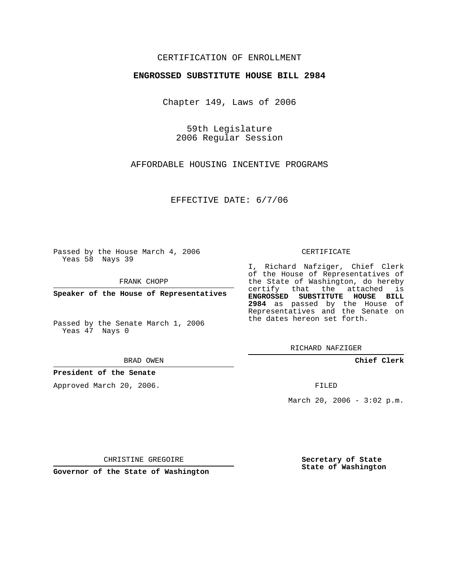## CERTIFICATION OF ENROLLMENT

#### **ENGROSSED SUBSTITUTE HOUSE BILL 2984**

Chapter 149, Laws of 2006

59th Legislature 2006 Regular Session

AFFORDABLE HOUSING INCENTIVE PROGRAMS

EFFECTIVE DATE: 6/7/06

Passed by the House March 4, 2006 Yeas 58 Nays 39

FRANK CHOPP

**Speaker of the House of Representatives**

Passed by the Senate March 1, 2006 Yeas 47 Nays 0

BRAD OWEN

#### **President of the Senate**

Approved March 20, 2006.

CERTIFICATE

I, Richard Nafziger, Chief Clerk of the House of Representatives of the State of Washington, do hereby certify that the attached is **ENGROSSED SUBSTITUTE HOUSE BILL 2984** as passed by the House of Representatives and the Senate on the dates hereon set forth.

RICHARD NAFZIGER

**Chief Clerk**

FILED

March 20, 2006 -  $3:02$  p.m.

CHRISTINE GREGOIRE

**Governor of the State of Washington**

**Secretary of State State of Washington**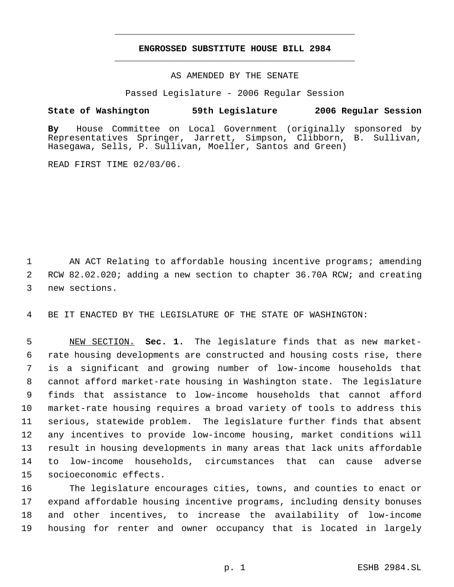# **ENGROSSED SUBSTITUTE HOUSE BILL 2984** \_\_\_\_\_\_\_\_\_\_\_\_\_\_\_\_\_\_\_\_\_\_\_\_\_\_\_\_\_\_\_\_\_\_\_\_\_\_\_\_\_\_\_\_\_

\_\_\_\_\_\_\_\_\_\_\_\_\_\_\_\_\_\_\_\_\_\_\_\_\_\_\_\_\_\_\_\_\_\_\_\_\_\_\_\_\_\_\_\_\_

AS AMENDED BY THE SENATE

Passed Legislature - 2006 Regular Session

### **State of Washington 59th Legislature 2006 Regular Session**

**By** House Committee on Local Government (originally sponsored by Representatives Springer, Jarrett, Simpson, Clibborn, B. Sullivan, Hasegawa, Sells, P. Sullivan, Moeller, Santos and Green)

READ FIRST TIME 02/03/06.

1 AN ACT Relating to affordable housing incentive programs; amending 2 RCW 82.02.020; adding a new section to chapter 36.70A RCW; and creating 3 new sections.

4 BE IT ENACTED BY THE LEGISLATURE OF THE STATE OF WASHINGTON:

 NEW SECTION. **Sec. 1.** The legislature finds that as new market- rate housing developments are constructed and housing costs rise, there is a significant and growing number of low-income households that cannot afford market-rate housing in Washington state. The legislature finds that assistance to low-income households that cannot afford market-rate housing requires a broad variety of tools to address this serious, statewide problem. The legislature further finds that absent any incentives to provide low-income housing, market conditions will result in housing developments in many areas that lack units affordable to low-income households, circumstances that can cause adverse socioeconomic effects.

 The legislature encourages cities, towns, and counties to enact or expand affordable housing incentive programs, including density bonuses and other incentives, to increase the availability of low-income housing for renter and owner occupancy that is located in largely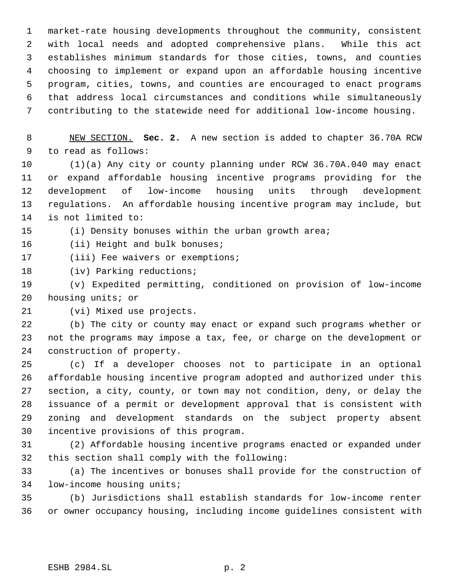market-rate housing developments throughout the community, consistent with local needs and adopted comprehensive plans. While this act establishes minimum standards for those cities, towns, and counties choosing to implement or expand upon an affordable housing incentive program, cities, towns, and counties are encouraged to enact programs that address local circumstances and conditions while simultaneously contributing to the statewide need for additional low-income housing.

 NEW SECTION. **Sec. 2.** A new section is added to chapter 36.70A RCW to read as follows:

 (1)(a) Any city or county planning under RCW 36.70A.040 may enact or expand affordable housing incentive programs providing for the development of low-income housing units through development regulations. An affordable housing incentive program may include, but is not limited to:

(i) Density bonuses within the urban growth area;

16 (ii) Height and bulk bonuses;

17 (iii) Fee waivers or exemptions;

(iv) Parking reductions;

 (v) Expedited permitting, conditioned on provision of low-income housing units; or

(vi) Mixed use projects.

 (b) The city or county may enact or expand such programs whether or not the programs may impose a tax, fee, or charge on the development or construction of property.

 (c) If a developer chooses not to participate in an optional affordable housing incentive program adopted and authorized under this section, a city, county, or town may not condition, deny, or delay the issuance of a permit or development approval that is consistent with zoning and development standards on the subject property absent incentive provisions of this program.

 (2) Affordable housing incentive programs enacted or expanded under this section shall comply with the following:

 (a) The incentives or bonuses shall provide for the construction of low-income housing units;

 (b) Jurisdictions shall establish standards for low-income renter or owner occupancy housing, including income guidelines consistent with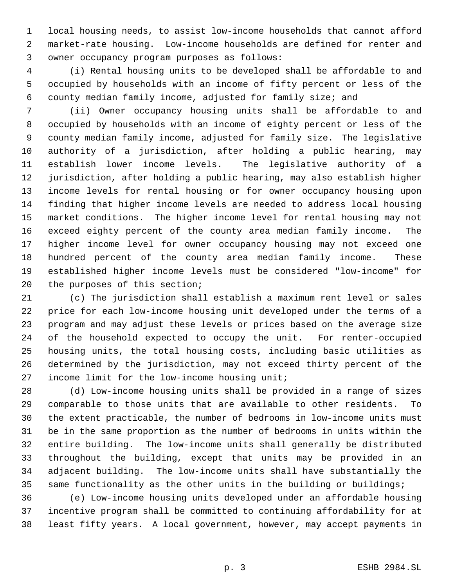local housing needs, to assist low-income households that cannot afford market-rate housing. Low-income households are defined for renter and owner occupancy program purposes as follows:

 (i) Rental housing units to be developed shall be affordable to and occupied by households with an income of fifty percent or less of the county median family income, adjusted for family size; and

 (ii) Owner occupancy housing units shall be affordable to and occupied by households with an income of eighty percent or less of the county median family income, adjusted for family size. The legislative authority of a jurisdiction, after holding a public hearing, may establish lower income levels. The legislative authority of a jurisdiction, after holding a public hearing, may also establish higher income levels for rental housing or for owner occupancy housing upon finding that higher income levels are needed to address local housing market conditions. The higher income level for rental housing may not exceed eighty percent of the county area median family income. The higher income level for owner occupancy housing may not exceed one hundred percent of the county area median family income. These established higher income levels must be considered "low-income" for the purposes of this section;

 (c) The jurisdiction shall establish a maximum rent level or sales price for each low-income housing unit developed under the terms of a program and may adjust these levels or prices based on the average size of the household expected to occupy the unit. For renter-occupied housing units, the total housing costs, including basic utilities as determined by the jurisdiction, may not exceed thirty percent of the income limit for the low-income housing unit;

 (d) Low-income housing units shall be provided in a range of sizes comparable to those units that are available to other residents. To the extent practicable, the number of bedrooms in low-income units must be in the same proportion as the number of bedrooms in units within the entire building. The low-income units shall generally be distributed throughout the building, except that units may be provided in an adjacent building. The low-income units shall have substantially the same functionality as the other units in the building or buildings;

 (e) Low-income housing units developed under an affordable housing incentive program shall be committed to continuing affordability for at least fifty years. A local government, however, may accept payments in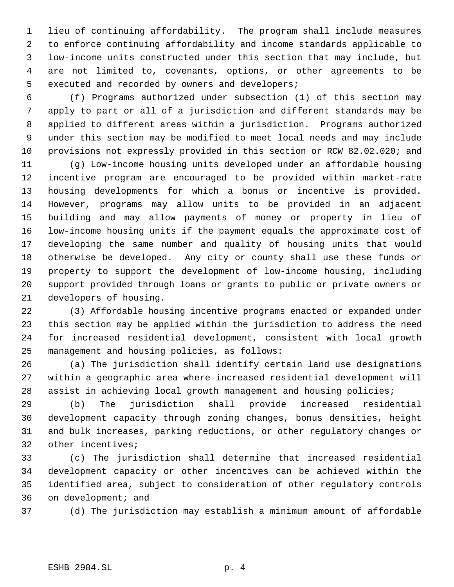lieu of continuing affordability. The program shall include measures to enforce continuing affordability and income standards applicable to low-income units constructed under this section that may include, but are not limited to, covenants, options, or other agreements to be executed and recorded by owners and developers;

 (f) Programs authorized under subsection (1) of this section may apply to part or all of a jurisdiction and different standards may be applied to different areas within a jurisdiction. Programs authorized under this section may be modified to meet local needs and may include provisions not expressly provided in this section or RCW 82.02.020; and

 (g) Low-income housing units developed under an affordable housing incentive program are encouraged to be provided within market-rate housing developments for which a bonus or incentive is provided. However, programs may allow units to be provided in an adjacent building and may allow payments of money or property in lieu of low-income housing units if the payment equals the approximate cost of developing the same number and quality of housing units that would otherwise be developed. Any city or county shall use these funds or property to support the development of low-income housing, including support provided through loans or grants to public or private owners or developers of housing.

 (3) Affordable housing incentive programs enacted or expanded under this section may be applied within the jurisdiction to address the need for increased residential development, consistent with local growth management and housing policies, as follows:

 (a) The jurisdiction shall identify certain land use designations within a geographic area where increased residential development will assist in achieving local growth management and housing policies;

 (b) The jurisdiction shall provide increased residential development capacity through zoning changes, bonus densities, height and bulk increases, parking reductions, or other regulatory changes or other incentives;

 (c) The jurisdiction shall determine that increased residential development capacity or other incentives can be achieved within the identified area, subject to consideration of other regulatory controls on development; and

(d) The jurisdiction may establish a minimum amount of affordable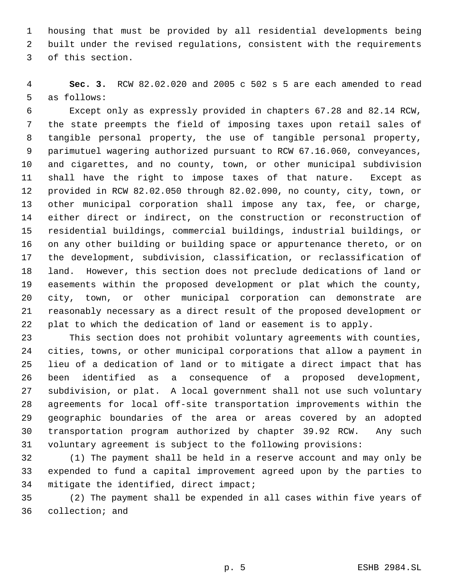housing that must be provided by all residential developments being built under the revised regulations, consistent with the requirements of this section.

 **Sec. 3.** RCW 82.02.020 and 2005 c 502 s 5 are each amended to read as follows:

 Except only as expressly provided in chapters 67.28 and 82.14 RCW, the state preempts the field of imposing taxes upon retail sales of tangible personal property, the use of tangible personal property, parimutuel wagering authorized pursuant to RCW 67.16.060, conveyances, and cigarettes, and no county, town, or other municipal subdivision shall have the right to impose taxes of that nature. Except as provided in RCW 82.02.050 through 82.02.090, no county, city, town, or other municipal corporation shall impose any tax, fee, or charge, either direct or indirect, on the construction or reconstruction of residential buildings, commercial buildings, industrial buildings, or on any other building or building space or appurtenance thereto, or on the development, subdivision, classification, or reclassification of land. However, this section does not preclude dedications of land or easements within the proposed development or plat which the county, city, town, or other municipal corporation can demonstrate are reasonably necessary as a direct result of the proposed development or plat to which the dedication of land or easement is to apply.

 This section does not prohibit voluntary agreements with counties, cities, towns, or other municipal corporations that allow a payment in lieu of a dedication of land or to mitigate a direct impact that has been identified as a consequence of a proposed development, subdivision, or plat. A local government shall not use such voluntary agreements for local off-site transportation improvements within the geographic boundaries of the area or areas covered by an adopted transportation program authorized by chapter 39.92 RCW. Any such voluntary agreement is subject to the following provisions:

 (1) The payment shall be held in a reserve account and may only be expended to fund a capital improvement agreed upon by the parties to mitigate the identified, direct impact;

 (2) The payment shall be expended in all cases within five years of collection; and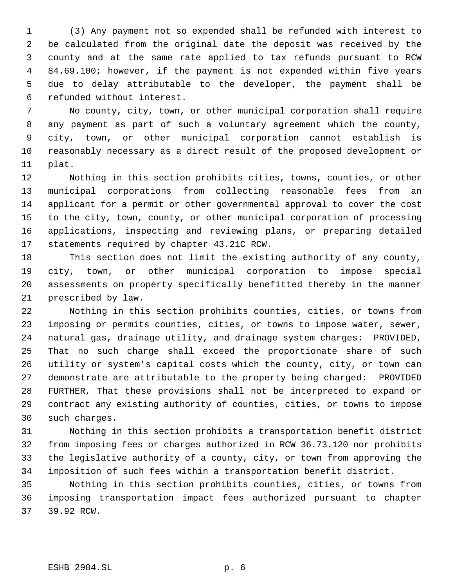(3) Any payment not so expended shall be refunded with interest to be calculated from the original date the deposit was received by the county and at the same rate applied to tax refunds pursuant to RCW 84.69.100; however, if the payment is not expended within five years due to delay attributable to the developer, the payment shall be refunded without interest.

 No county, city, town, or other municipal corporation shall require any payment as part of such a voluntary agreement which the county, city, town, or other municipal corporation cannot establish is reasonably necessary as a direct result of the proposed development or plat.

 Nothing in this section prohibits cities, towns, counties, or other municipal corporations from collecting reasonable fees from an applicant for a permit or other governmental approval to cover the cost to the city, town, county, or other municipal corporation of processing applications, inspecting and reviewing plans, or preparing detailed statements required by chapter 43.21C RCW.

 This section does not limit the existing authority of any county, city, town, or other municipal corporation to impose special assessments on property specifically benefitted thereby in the manner prescribed by law.

 Nothing in this section prohibits counties, cities, or towns from imposing or permits counties, cities, or towns to impose water, sewer, natural gas, drainage utility, and drainage system charges: PROVIDED, That no such charge shall exceed the proportionate share of such utility or system's capital costs which the county, city, or town can demonstrate are attributable to the property being charged: PROVIDED FURTHER, That these provisions shall not be interpreted to expand or contract any existing authority of counties, cities, or towns to impose such charges.

 Nothing in this section prohibits a transportation benefit district from imposing fees or charges authorized in RCW 36.73.120 nor prohibits the legislative authority of a county, city, or town from approving the imposition of such fees within a transportation benefit district.

 Nothing in this section prohibits counties, cities, or towns from imposing transportation impact fees authorized pursuant to chapter 39.92 RCW.